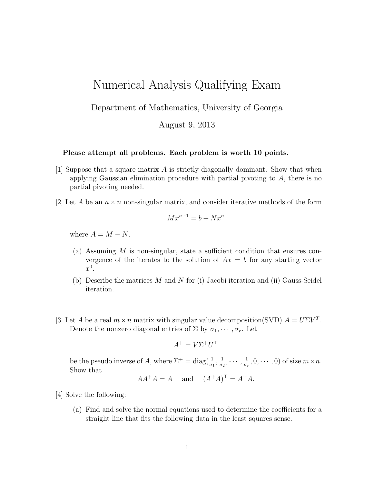## Numerical Analysis Qualifying Exam

Department of Mathematics, University of Georgia

August 9, 2013

## Please attempt all problems. Each problem is worth 10 points.

- [1] Suppose that a square matrix A is strictly diagonally dominant. Show that when applying Gaussian elimination procedure with partial pivoting to A, there is no partial pivoting needed.
- [2] Let A be an  $n \times n$  non-singular matrix, and consider iterative methods of the form

$$
Mx^{n+1} = b + Nx^n
$$

where  $A = M - N$ .

- (a) Assuming M is non-singular, state a sufficient condition that ensures convergence of the iterates to the solution of  $Ax = b$  for any starting vector  $x^0$ .
- (b) Describe the matrices  $M$  and  $N$  for (i) Jacobi iteration and (ii) Gauss-Seidel iteration.
- [3] Let A be a real  $m \times n$  matrix with singular value decomposition(SVD)  $A = U\Sigma V^T$ . Denote the nonzero diagonal entries of  $\Sigma$  by  $\sigma_1, \cdots, \sigma_r$ . Let

$$
A^+ = V\Sigma^+ U^\top
$$

be the pseudo inverse of A, where  $\Sigma^+ = \text{diag}(\frac{1}{\sigma_1}, \frac{1}{\sigma_2})$  $\frac{1}{\sigma_2},\cdots,\frac{1}{\sigma_n}$  $\frac{1}{\sigma_r}, 0, \cdots, 0)$  of size  $m \times n$ . Show that

$$
AA^+A = A \quad \text{and} \quad (A^+A)^\top = A^+A.
$$

- [4] Solve the following:
	- (a) Find and solve the normal equations used to determine the coefficients for a straight line that fits the following data in the least squares sense.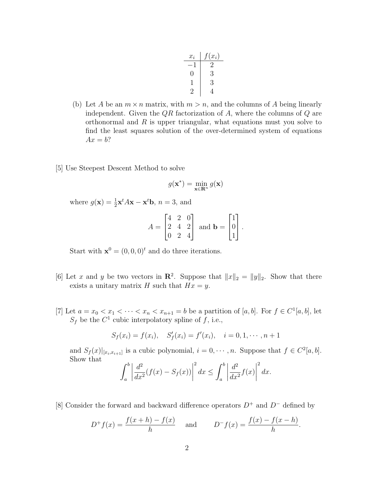| $x_i$                    | $f(x_i)$  |
|--------------------------|-----------|
| $\overline{\phantom{0}}$ | $\dot{2}$ |
| 0                        | 3         |
|                          | З         |
|                          |           |

- (b) Let A be an  $m \times n$  matrix, with  $m > n$ , and the columns of A being linearly independent. Given the  $QR$  factorization of A, where the columns of  $Q$  are orthonormal and  $R$  is upper triangular, what equations must you solve to find the least squares solution of the over-determined system of equations  $Ax = b$ ?
- [5] Use Steepest Descent Method to solve

$$
g(\mathbf{x}^*) = \min_{\mathbf{x} \in \mathbf{R}^n} g(\mathbf{x})
$$

where  $g(\mathbf{x}) = \frac{1}{2}\mathbf{x}^t A \mathbf{x} - \mathbf{x}^t \mathbf{b}$ ,  $n = 3$ , and

$$
A = \begin{bmatrix} 4 & 2 & 0 \\ 2 & 4 & 2 \\ 0 & 2 & 4 \end{bmatrix} \text{ and } \mathbf{b} = \begin{bmatrix} 1 \\ 0 \\ 1 \end{bmatrix}.
$$

Start with  $\mathbf{x}^0 = (0, 0, 0)^t$  and do three iterations.

- [6] Let x and y be two vectors in  $\mathbb{R}^2$ . Suppose that  $||x||_2 = ||y||_2$ . Show that there exists a unitary matrix H such that  $Hx = y$ .
- [7] Let  $a = x_0 < x_1 < \cdots < x_n < x_{n+1} = b$  be a partition of [a, b]. For  $f \in C^1[a, b]$ , let  $S_f$  be the  $C^1$  cubic interpolatory spline of f, i.e.,

$$
S_f(x_i) = f(x_i), S'_f(x_i) = f'(x_i), i = 0, 1, \dots, n+1
$$

and  $S_f(x)|_{[x_i,x_{i+1}]}$  is a cubic polynomial,  $i=0,\dots,n$ . Suppose that  $f \in C^2[a,b]$ . Show that

$$
\int_a^b \left| \frac{d^2}{dx^2} (f(x) - S_f(x)) \right|^2 dx \le \int_a^b \left| \frac{d^2}{dx^2} f(x) \right|^2 dx.
$$

[8] Consider the forward and backward difference operators  $D^+$  and  $D^-$  defined by

$$
D^{+} f(x) = \frac{f(x+h) - f(x)}{h}
$$
 and 
$$
D^{-} f(x) = \frac{f(x) - f(x-h)}{h}.
$$